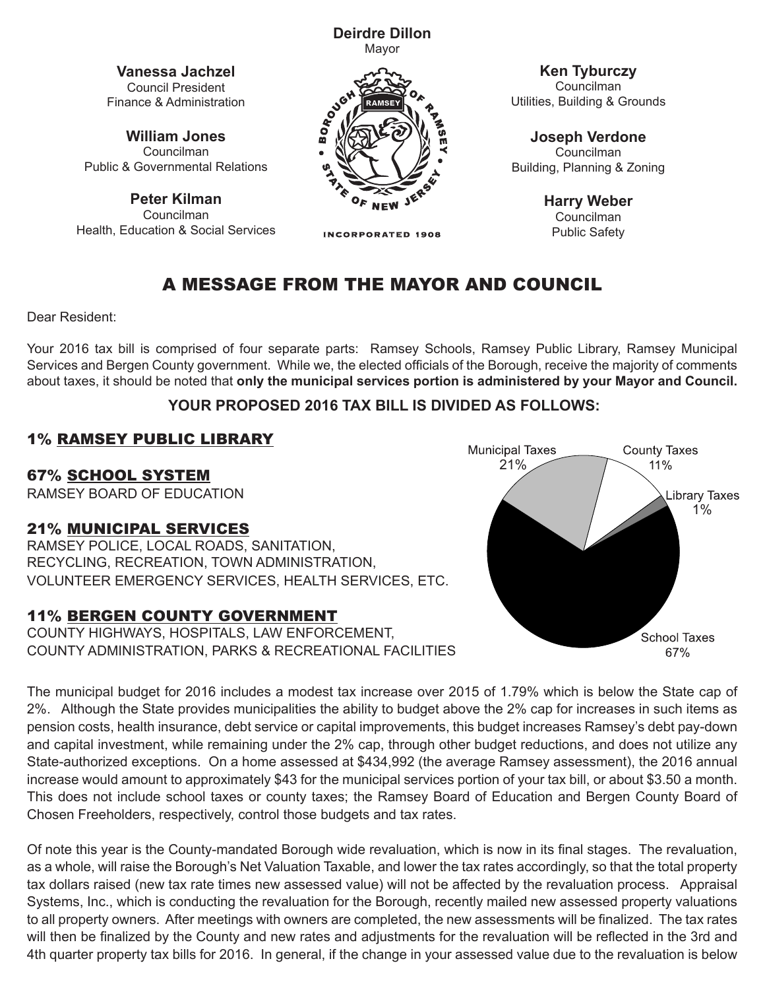**Vanessa Jachzel** Council President

**William Jones** Councilman Public & Governmental Relations

Finance & Administration

**Peter Kilman** Councilman Health, Education & Social Services



**Deirdre Dillon**

**INCORPORATED 1908** 

**Ken Tyburczy** Councilman Utilities, Building & Grounds

**Joseph Verdone** Councilman Building, Planning & Zoning

> **Harry Weber** Councilman Public Safety

# A MESSAGE FROM THE MAYOR AND COUNCIL

Dear Resident:

Your 2016 tax bill is comprised of four separate parts: Ramsey Schools, Ramsey Public Library, Ramsey Municipal Services and Bergen County government. While we, the elected officials of the Borough, receive the majority of comments about taxes, it should be noted that **only the municipal services portion is administered by your Mayor and Council.**

#### **YOUR PROPOSED 2016 TAX BILL IS DIVIDED AS FOLLOWS:**

### 1% RAMSEY PUBLIC LIBRARY

67% SCHOOL SYSTEM

RAMSEY BOARD OF EDUCATION

#### 21% MUNICIPAL SERVICES

RAMSEY POLICE, LOCAL ROADS, SANITATION, RECYCLING, RECREATION, TOWN ADMINISTRATION, VOLUNTEER EMERGENCY SERVICES, HEALTH SERVICES, ETC.

### 11% BERGEN COUNTY GOVERNMENT

COUNTY HIGHWAYS, HOSPITALS, LAW ENFORCEMENT, COUNTY ADMINISTRATION, PARKS & RECREATIONAL FACILITIES



The municipal budget for 2016 includes a modest tax increase over 2015 of 1.79% which is below the State cap of<br>2%. Although the State provides municipalities the ability to budget above the 2% cap for increases in such it 3rd Christmanelpar badget for 2010 included a modest tax increase over 2010 of 1.10% which is below the etate cap of<br>2%. Although the State provides municipalities the ability to budget above the 2% cap for increases in su 2%. Although the State provides municipalities the ability to budget above the 2% cap for increases in such items as<br>pension costs, health insurance, debt service or capital improvements, this budget increases Ramsey's d and capital investment, while remaining under the 2% cap, through other budget reductions, and does not utilize any State-authorized exceptions. On a home assessed at \$434,992 (the average Ramsey assessment), the 2016 annual increase would amount to approximately \$43 for the municipal services portion of your tax bill, or about \$3.50 a month. This does not include school taxes or county taxes; the Ramsey Board of Education and Bergen County Board of Chosen Freeholders, respectively, control those budgets and tax rates.

Of note this year is the County-mandated Borough wide revaluation, which is now in its final stages. The revaluation, as a whole, will raise the Borough's Net Valuation Taxable, and lower the tax rates accordingly, so that the total property tax dollars raised (new tax rate times new assessed value) will not be affected by the revaluation process. Appraisal Systems, Inc., which is conducting the revaluation for the Borough, recently mailed new assessed property valuations to all property owners. After meetings with owners are completed, the new assessments will be finalized. The tax rates will then be finalized by the County and new rates and adjustments for the revaluation will be reflected in the 3rd and 4th quarter property tax bills for 2016. In general, if the change in your assessed value due to the revaluation is below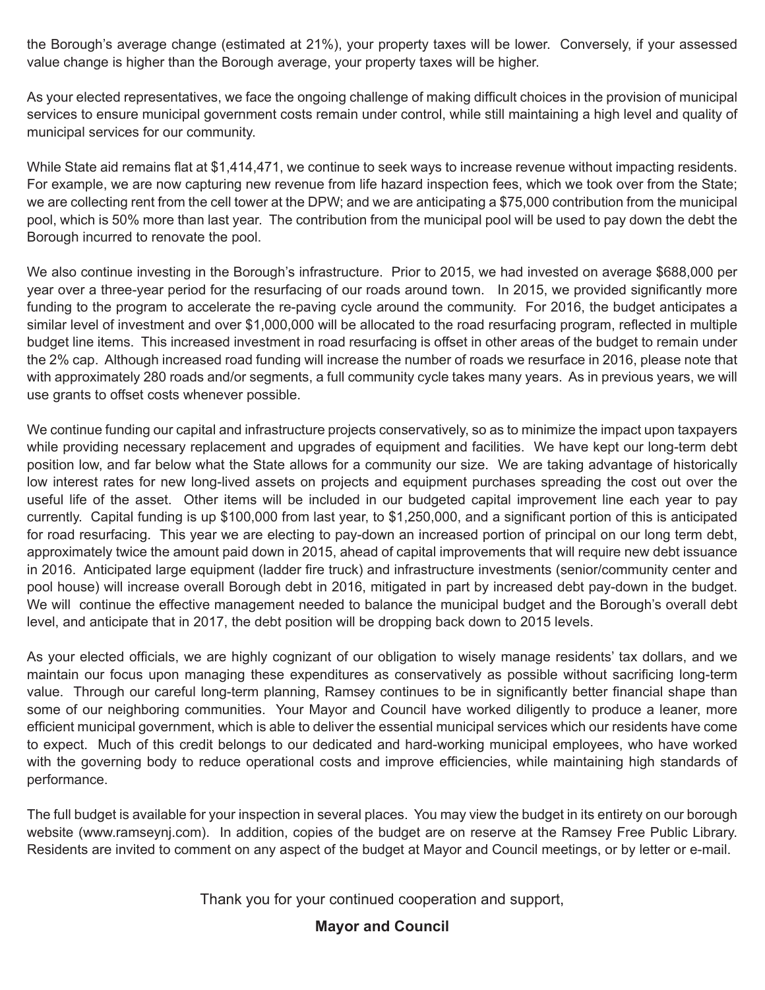the Borough's average change (estimated at 21%), your property taxes will be lower. Conversely, if your assessed value change is higher than the Borough average, your property taxes will be higher.

As your elected representatives, we face the ongoing challenge of making difficult choices in the provision of municipal services to ensure municipal government costs remain under control, while still maintaining a high level and quality of municipal services for our community.

While State aid remains flat at \$1,414,471, we continue to seek ways to increase revenue without impacting residents. For example, we are now capturing new revenue from life hazard inspection fees, which we took over from the State; we are collecting rent from the cell tower at the DPW; and we are anticipating a \$75,000 contribution from the municipal pool, which is 50% more than last year. The contribution from the municipal pool will be used to pay down the debt the Borough incurred to renovate the pool.

We also continue investing in the Borough's infrastructure. Prior to 2015, we had invested on average \$688,000 per year over a three-year period for the resurfacing of our roads around town. In 2015, we provided significantly more funding to the program to accelerate the re-paving cycle around the community. For 2016, the budget anticipates a similar level of investment and over \$1,000,000 will be allocated to the road resurfacing program, reflected in multiple budget line items. This increased investment in road resurfacing is offset in other areas of the budget to remain under the 2% cap. Although increased road funding will increase the number of roads we resurface in 2016, please note that with approximately 280 roads and/or segments, a full community cycle takes many years. As in previous years, we will use grants to offset costs whenever possible.

We continue funding our capital and infrastructure projects conservatively, so as to minimize the impact upon taxpayers while providing necessary replacement and upgrades of equipment and facilities. We have kept our long-term debt position low, and far below what the State allows for a community our size. We are taking advantage of historically low interest rates for new long-lived assets on projects and equipment purchases spreading the cost out over the useful life of the asset. Other items will be included in our budgeted capital improvement line each year to pay currently. Capital funding is up \$100,000 from last year, to \$1,250,000, and a significant portion of this is anticipated for road resurfacing. This year we are electing to pay-down an increased portion of principal on our long term debt, approximately twice the amount paid down in 2015, ahead of capital improvements that will require new debt issuance in 2016. Anticipated large equipment (ladder fire truck) and infrastructure investments (senior/community center and pool house) will increase overall Borough debt in 2016, mitigated in part by increased debt pay-down in the budget. We will continue the effective management needed to balance the municipal budget and the Borough's overall debt level, and anticipate that in 2017, the debt position will be dropping back down to 2015 levels.

As your elected officials, we are highly cognizant of our obligation to wisely manage residents' tax dollars, and we maintain our focus upon managing these expenditures as conservatively as possible without sacrificing long-term value. Through our careful long-term planning, Ramsey continues to be in significantly better financial shape than some of our neighboring communities. Your Mayor and Council have worked diligently to produce a leaner, more efficient municipal government, which is able to deliver the essential municipal services which our residents have come to expect. Much of this credit belongs to our dedicated and hard-working municipal employees, who have worked with the governing body to reduce operational costs and improve efficiencies, while maintaining high standards of performance.

The full budget is available for your inspection in several places. You may view the budget in its entirety on our borough website (www.ramseynj.com). In addition, copies of the budget are on reserve at the Ramsey Free Public Library. Residents are invited to comment on any aspect of the budget at Mayor and Council meetings, or by letter or e-mail.

Thank you for your continued cooperation and support,

#### **Mayor and Council**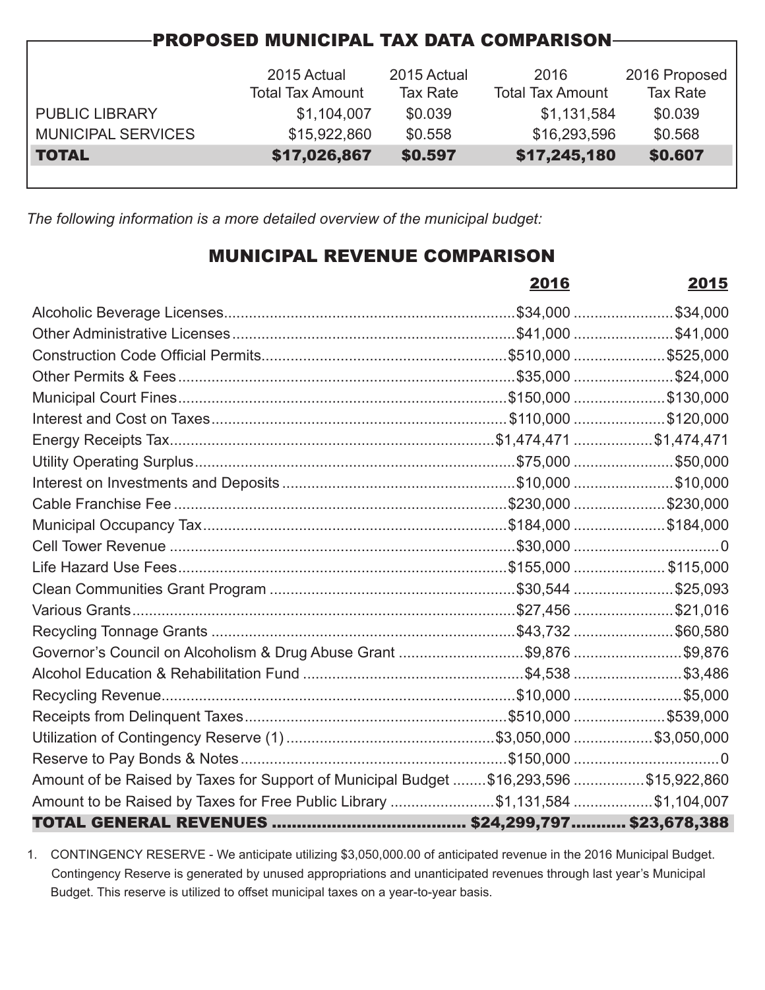| <b>PROPOSED MUNICIPAL TAX DATA COMPARISON-</b> |                         |                 |                         |                 |  |  |  |
|------------------------------------------------|-------------------------|-----------------|-------------------------|-----------------|--|--|--|
|                                                |                         |                 |                         |                 |  |  |  |
|                                                | 2015 Actual             | 2015 Actual     | 2016                    | 2016 Proposed   |  |  |  |
|                                                | <b>Total Tax Amount</b> | <b>Tax Rate</b> | <b>Total Tax Amount</b> | <b>Tax Rate</b> |  |  |  |
| <b>PUBLIC LIBRARY</b>                          | \$1,104,007             | \$0.039         | \$1,131,584             | \$0.039         |  |  |  |
| <b>MUNICIPAL SERVICES</b>                      | \$15,922,860            | \$0.558         | \$16,293,596            | \$0.568         |  |  |  |
| <b>TOTAL</b>                                   | \$17,026,867            | \$0.597         | \$17,245,180            | \$0.607         |  |  |  |
|                                                |                         |                 |                         |                 |  |  |  |

*The following information is a more detailed overview of the municipal budget:*

## MUNICIPAL REVENUE COMPARISON

|                                                                                        | 2016 | 2015 |
|----------------------------------------------------------------------------------------|------|------|
|                                                                                        |      |      |
|                                                                                        |      |      |
|                                                                                        |      |      |
|                                                                                        |      |      |
|                                                                                        |      |      |
|                                                                                        |      |      |
|                                                                                        |      |      |
|                                                                                        |      |      |
|                                                                                        |      |      |
|                                                                                        |      |      |
|                                                                                        |      |      |
|                                                                                        |      |      |
|                                                                                        |      |      |
|                                                                                        |      |      |
|                                                                                        |      |      |
|                                                                                        |      |      |
| Governor's Council on Alcoholism & Drug Abuse Grant \$9,876 \$9,876                    |      |      |
|                                                                                        |      |      |
|                                                                                        |      |      |
|                                                                                        |      |      |
|                                                                                        |      |      |
|                                                                                        |      |      |
| Amount of be Raised by Taxes for Support of Municipal Budget \$16,293,596 \$15,922,860 |      |      |
| Amount to be Raised by Taxes for Free Public Library \$1,131,584 \$1,104,007           |      |      |
|                                                                                        |      |      |

1. CONTINGENCY RESERVE - We anticipate utilizing \$3,050,000.00 of anticipated revenue in the 2016 Municipal Budget. Contingency Reserve is generated by unused appropriations and unanticipated revenues through last year's Municipal Budget. This reserve is utilized to offset municipal taxes on a year-to-year basis.